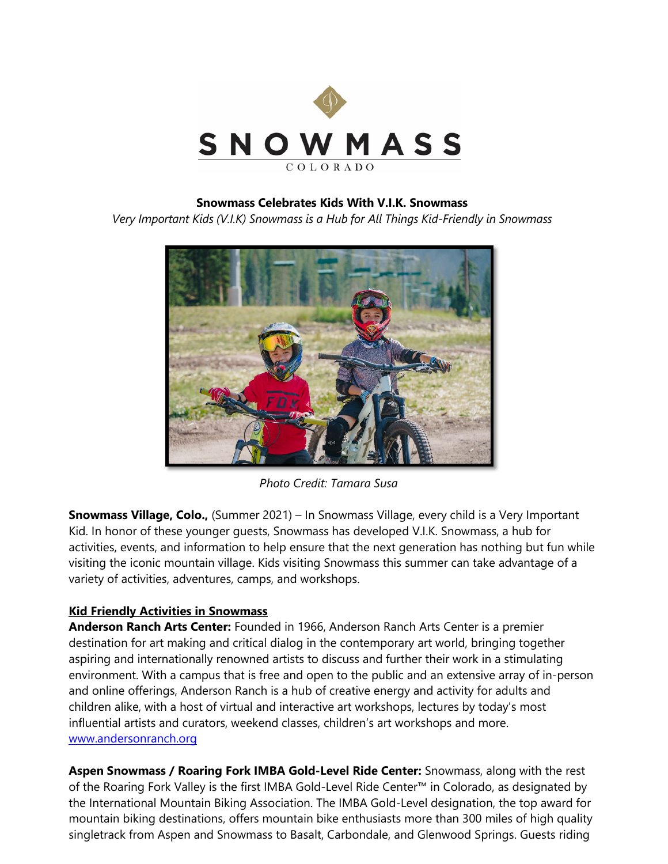

## **Snowmass Celebrates Kids With V.I.K. Snowmass**

*Very Important Kids (V.I.K) Snowmass is a Hub for All Things Kid-Friendly in Snowmass*



*Photo Credit: Tamara Susa*

**Snowmass Village, Colo.,** (Summer 2021) – In Snowmass Village, every child is a Very Important Kid. In honor of these younger guests, Snowmass has developed V.I.K. Snowmass, a hub for activities, events, and information to help ensure that the next generation has nothing but fun while visiting the iconic mountain village. Kids visiting Snowmass this summer can take advantage of a variety of activities, adventures, camps, and workshops.

## **Kid Friendly Activities in Snowmass**

**Anderson Ranch Arts Center:** Founded in 1966, Anderson Ranch Arts Center is a premier destination for art making and critical dialog in the contemporary art world, bringing together aspiring and internationally renowned artists to discuss and further their work in a stimulating environment. With a campus that is free and open to the public and an extensive array of in-person and online offerings, Anderson Ranch is a hub of creative energy and activity for adults and children alike, with a host of virtual and interactive art workshops, lectures by today's most influential artists and curators, weekend classes, children's art workshops and more. [www.andersonranch.org](http://www.andersonranch.org/)

**Aspen Snowmass / Roaring Fork IMBA Gold-Level Ride Center:** Snowmass, along with the rest of the Roaring Fork Valley is the first IMBA Gold-Level Ride Center™ in Colorado, as designated by the International Mountain Biking Association. The IMBA Gold-Level designation, the top award for mountain biking destinations, offers mountain bike enthusiasts more than 300 miles of high quality singletrack from Aspen and Snowmass to Basalt, Carbondale, and Glenwood Springs. Guests riding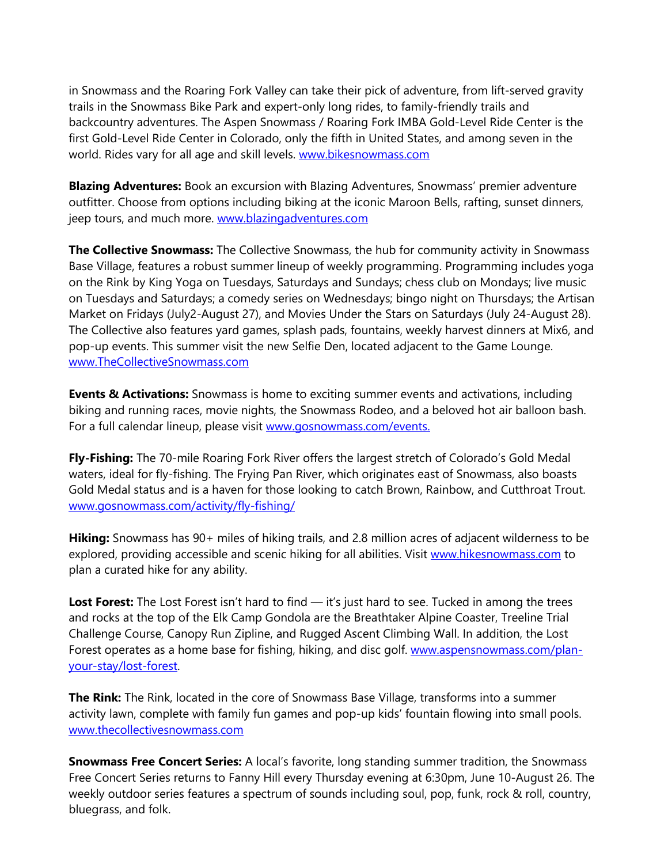in Snowmass and the Roaring Fork Valley can take their pick of adventure, from lift-served gravity trails in the Snowmass Bike Park and expert-only long rides, to family-friendly trails and backcountry adventures. The Aspen Snowmass / Roaring Fork IMBA Gold-Level Ride Center is the first Gold-Level Ride Center in Colorado, only the fifth in United States, and among seven in the world. Rides vary for all age and skill levels. [www.bikesnowmass.com](http://www.bikesnowmass.com/)

**Blazing Adventures:** Book an excursion with Blazing Adventures, Snowmass' premier adventure outfitter. Choose from options including biking at the iconic Maroon Bells, rafting, sunset dinners, jeep tours, and much more. [www.blazingadventures.com](http://www.blazingadventures.com/)

**The Collective Snowmass:** The Collective Snowmass, the hub for community activity in Snowmass Base Village, features a robust summer lineup of weekly programming. Programming includes yoga on the Rink by King Yoga on Tuesdays, Saturdays and Sundays; chess club on Mondays; live music on Tuesdays and Saturdays; a comedy series on Wednesdays; bingo night on Thursdays; the Artisan Market on Fridays (July2-August 27), and Movies Under the Stars on Saturdays (July 24-August 28). The Collective also features yard games, splash pads, fountains, weekly harvest dinners at Mix6, and pop-up events. This summer visit the new Selfie Den, located adjacent to the Game Lounge. [www.TheCollectiveSnowmass.com](http://www.thecollectivesnowmass.com/) 

**Events & Activations:** Snowmass is home to exciting summer events and activations, including biking and running races, movie nights, the Snowmass Rodeo, and a beloved hot air balloon bash. For a full calendar lineup, please visit [www.gosnowmass.com/events.](http://www.gosnowmass.com/events)

**Fly-Fishing:** The 70-mile Roaring Fork River offers the largest stretch of Colorado's Gold Medal waters, ideal for fly-fishing. The Frying Pan River, which originates east of Snowmass, also boasts Gold Medal status and is a haven for those looking to catch Brown, Rainbow, and Cutthroat Trout. [www.gosnowmass.com/activity/fly-fishing/](https://www.gosnowmass.com/activity/fly-fishing/)

**Hiking:** Snowmass has 90+ miles of hiking trails, and 2.8 million acres of adjacent wilderness to be explored, providing accessible and scenic hiking for all abilities. Visit [www.hikesnowmass.com](http://www.hikesnowmass.com/) to plan a curated hike for any ability.

Lost Forest: The Lost Forest isn't hard to find — it's just hard to see. Tucked in among the trees and rocks at the top of the Elk Camp Gondola are the Breathtaker Alpine Coaster, Treeline Trial Challenge Course, Canopy Run Zipline, and Rugged Ascent Climbing Wall. In addition, the Lost Forest operates as a home base for fishing, hiking, and disc golf. [www.aspensnowmass.com/plan](http://www.aspensnowmass.com/plan-your-stay/lost-forest)[your-stay/lost-forest.](http://www.aspensnowmass.com/plan-your-stay/lost-forest)

**The Rink:** The Rink, located in the core of Snowmass Base Village, transforms into a summer activity lawn, complete with family fun games and pop-up kids' fountain flowing into small pools. [www.thecollectivesnowmass.com](https://linkprotect.cudasvc.com/url?a=http%3a%2f%2fwww.thecollectivesnowmass.com&c=E,1,7yv27eVG5vplDheUsqLX3Y5TUURHBRDcPePKmKB0V7egnWEHT0OMoF4aj7i5Hs6O0zhOmYK0fqcU2gqedLk3WPaTWqzRh5foC--vnbhv&typo=1)

**Snowmass Free Concert Series:** A local's favorite, long standing summer tradition, the Snowmass Free Concert Series returns to Fanny Hill every Thursday evening at 6:30pm, June 10-August 26. The weekly outdoor series features a spectrum of sounds including soul, pop, funk, rock & roll, country, bluegrass, and folk.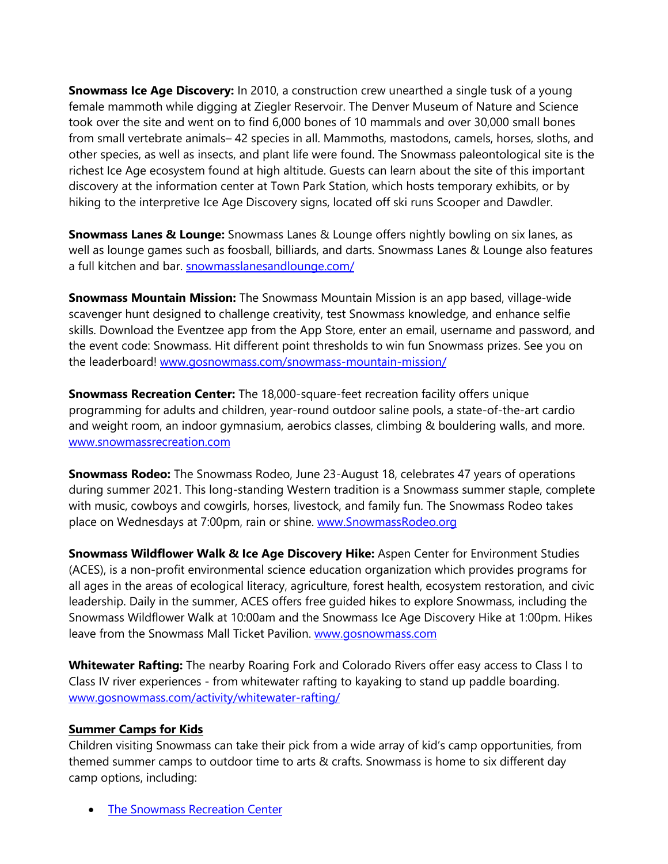**Snowmass Ice Age Discovery:** In 2010, a construction crew unearthed a single tusk of a young female mammoth while digging at Ziegler Reservoir. The Denver Museum of Nature and Science took over the site and went on to find 6,000 bones of 10 mammals and over 30,000 small bones from small vertebrate animals– 42 species in all. Mammoths, mastodons, camels, horses, sloths, and other species, as well as insects, and plant life were found. The Snowmass paleontological site is the richest Ice Age ecosystem found at high altitude. Guests can learn about the site of this important discovery at the information center at Town Park Station, which hosts temporary exhibits, or by hiking to the interpretive Ice Age Discovery signs, located off ski runs Scooper and Dawdler.

**Snowmass Lanes & Lounge:** Snowmass Lanes & Lounge offers nightly bowling on six lanes, as well as lounge games such as foosball, billiards, and darts. Snowmass Lanes & Lounge also features a full kitchen and bar. [snowmasslanesandlounge.com/](http://www.snowmasslanesandlounge.com/)

**Snowmass Mountain Mission:** The Snowmass Mountain Mission is an app based, village-wide scavenger hunt designed to challenge creativity, test Snowmass knowledge, and enhance selfie skills. Download the Eventzee app from the App Store, enter an email, username and password, and the event code: Snowmass. Hit different point thresholds to win fun Snowmass prizes. See you on the leaderboard! [www.gosnowmass.com/snowmass-mountain-mission/](http://www.gosnowmass.com/snowmass-mountain-mission/)

**Snowmass Recreation Center:** The 18,000-square-feet recreation facility offers unique programming for adults and children, year-round outdoor saline pools, a state-of-the-art cardio and weight room, an indoor gymnasium, aerobics classes, climbing & bouldering walls, and more. [www.snowmassrecreation.com](http://www.snowmassrecreation.com/)

**Snowmass Rodeo:** The Snowmass Rodeo, June 23-August 18, celebrates 47 years of operations during summer 2021. This long-standing Western tradition is a Snowmass summer staple, complete with music, cowboys and cowgirls, horses, livestock, and family fun. The Snowmass Rodeo takes place on Wednesdays at 7:00pm, rain or shine. www. SnowmassRodeo.org

**Snowmass Wildflower Walk & Ice Age Discovery Hike:** Aspen Center for Environment Studies (ACES), is a non-profit environmental science education organization which provides programs for all ages in the areas of ecological literacy, agriculture, forest health, ecosystem restoration, and civic leadership. Daily in the summer, ACES offers free guided hikes to explore Snowmass, including the Snowmass Wildflower Walk at 10:00am and the Snowmass Ice Age Discovery Hike at 1:00pm. Hikes leave from the Snowmass Mall Ticket Pavilion. [www.gosnowmass.com](http://www.gosnowmass.com/)

**Whitewater Rafting:** The nearby Roaring Fork and Colorado Rivers offer easy access to Class I to Class IV river experiences - from whitewater rafting to kayaking to stand up paddle boarding. [www.gosnowmass.com/activity/whitewater-rafting/](http://www.gosnowmass.com/activity/whitewater-rafting/)

## **Summer Camps for Kids**

Children visiting Snowmass can take their pick from a wide array of kid's camp opportunities, from themed summer camps to outdoor time to arts & crafts. Snowmass is home to six different day camp options, including:

**[The Snowmass Recreation Center](http://www.snowmassrecreation.com/)**